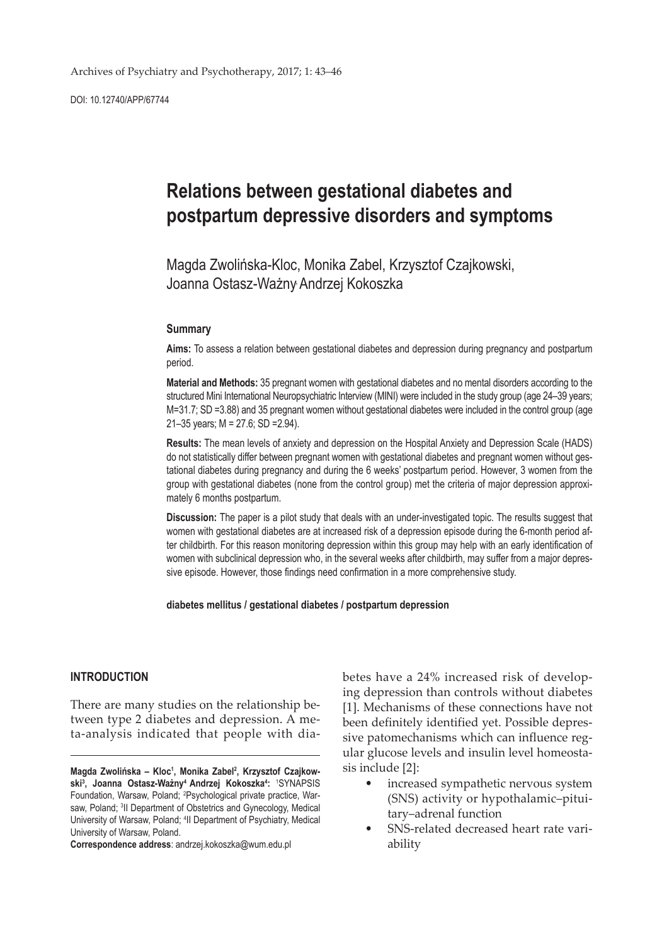DOI: 10.12740/APP/67744

# **Relations between gestational diabetes and postpartum depressive disorders and symptoms**

Magda Zwolińska-Kloc, Monika Zabel, Krzysztof Czajkowski, Joanna Ostasz-Ważny, Andrzej Kokoszka

#### **Summary**

**Aims:** To assess a relation between gestational diabetes and depression during pregnancy and postpartum period.

**Material and Methods:** 35 pregnant women with gestational diabetes and no mental disorders according to the structured Mini International Neuropsychiatric Interview (MINI) were included in the study group (age 24–39 years; M=31.7; SD =3.88) and 35 pregnant women without gestational diabetes were included in the control group (age 21–35 years; M = 27.6; SD =2.94).

**Results:** The mean levels of anxiety and depression on the Hospital Anxiety and Depression Scale (HADS) do not statistically differ between pregnant women with gestational diabetes and pregnant women without gestational diabetes during pregnancy and during the 6 weeks' postpartum period. However, 3 women from the group with gestational diabetes (none from the control group) met the criteria of major depression approximately 6 months postpartum.

**Discussion:** The paper is a pilot study that deals with an under-investigated topic. The results suggest that women with gestational diabetes are at increased risk of a depression episode during the 6-month period after childbirth. For this reason monitoring depression within this group may help with an early identification of women with subclinical depression who, in the several weeks after childbirth, may suffer from a major depressive episode. However, those findings need confirmation in a more comprehensive study.

#### **diabetes mellitus / gestational diabetes / postpartum depression**

## **INTRODUCTION**

There are many studies on the relationship between type 2 diabetes and depression. A meta-analysis indicated that people with dia-

**Correspondence address**: andrzej.kokoszka@wum.edu.pl

betes have a 24% increased risk of developing depression than controls without diabetes [1]. Mechanisms of these connections have not been definitely identified yet. Possible depressive patomechanisms which can influence regular glucose levels and insulin level homeostasis include [2]:

- increased sympathetic nervous system (SNS) activity or hypothalamic–pituitary–adrenal function
- SNS-related decreased heart rate variability

**Magda Zwolińska – Kloc<sup>1</sup> , Monika Zabel2 , Krzysztof Czajkowski3 , Joanna Ostasz-Ważny4 Andrzej Kokoszka4 :** <sup>1</sup> SYNAPSIS Foundation, Warsaw, Poland; <sup>2</sup>Psychological private practice, Warsaw, Poland; <sup>3</sup>II Department of Obstetrics and Gynecology, Medical University of Warsaw, Poland; 4 II Department of Psychiatry, Medical University of Warsaw, Poland.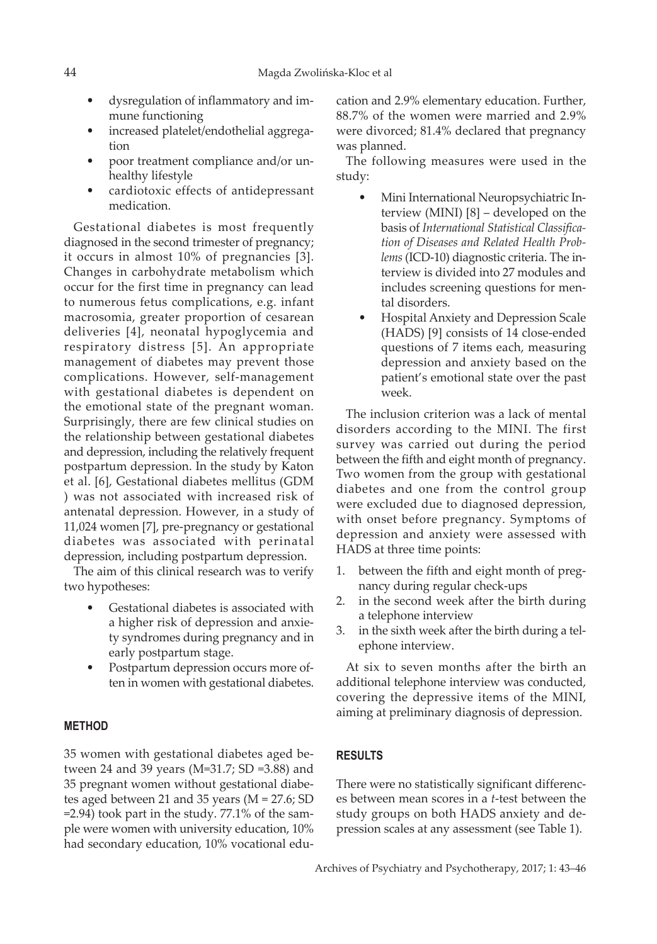- dysregulation of inflammatory and immune functioning
- increased platelet/endothelial aggregation
- poor treatment compliance and/or unhealthy lifestyle
- cardiotoxic effects of antidepressant medication.

Gestational diabetes is most frequently diagnosed in the second trimester of pregnancy; it occurs in almost 10% of pregnancies [3]. Changes in carbohydrate metabolism which occur for the first time in pregnancy can lead to numerous fetus complications, e.g. infant macrosomia, greater proportion of cesarean deliveries [4], neonatal hypoglycemia and respiratory distress [5]. An appropriate management of diabetes may prevent those complications. However, self-management with gestational diabetes is dependent on the emotional state of the pregnant woman. Surprisingly, there are few clinical studies on the relationship between gestational diabetes and depression, including the relatively frequent postpartum depression. In the study by Katon et al. [6], Gestational diabetes mellitus (GDM ) was not associated with increased risk of antenatal depression. However, in a study of 11,024 women [7], pre-pregnancy or gestational diabetes was associated with perinatal depression, including postpartum depression.

The aim of this clinical research was to verify two hypotheses:

- Gestational diabetes is associated with a higher risk of depression and anxiety syndromes during pregnancy and in early postpartum stage.
- Postpartum depression occurs more often in women with gestational diabetes.

#### **METHOD**

35 women with gestational diabetes aged between 24 and 39 years (M=31.7; SD =3.88) and 35 pregnant women without gestational diabetes aged between 21 and 35 years (M = 27.6; SD =2.94) took part in the study. 77.1% of the sample were women with university education, 10% had secondary education, 10% vocational education and 2.9% elementary education. Further, 88.7% of the women were married and 2.9% were divorced; 81.4% declared that pregnancy was planned.

The following measures were used in the study:

- Mini International Neuropsychiatric Interview (MINI) [8] – developed on the basis of *International Statistical Classification of Diseases and Related Health Problems* (ICD-10) diagnostic criteria. The interview is divided into 27 modules and includes screening questions for mental disorders.
- Hospital Anxiety and Depression Scale (HADS) [9] consists of 14 close-ended questions of 7 items each, measuring depression and anxiety based on the patient's emotional state over the past week.

The inclusion criterion was a lack of mental disorders according to the MINI. The first survey was carried out during the period between the fifth and eight month of pregnancy. Two women from the group with gestational diabetes and one from the control group were excluded due to diagnosed depression, with onset before pregnancy. Symptoms of depression and anxiety were assessed with HADS at three time points:

- 1. between the fifth and eight month of pregnancy during regular check-ups
- 2. in the second week after the birth during a telephone interview
- 3. in the sixth week after the birth during a telephone interview.

At six to seven months after the birth an additional telephone interview was conducted, covering the depressive items of the MINI, aiming at preliminary diagnosis of depression.

## **RESULTS**

There were no statistically significant differences between mean scores in a *t*-test between the study groups on both HADS anxiety and depression scales at any assessment (see Table 1).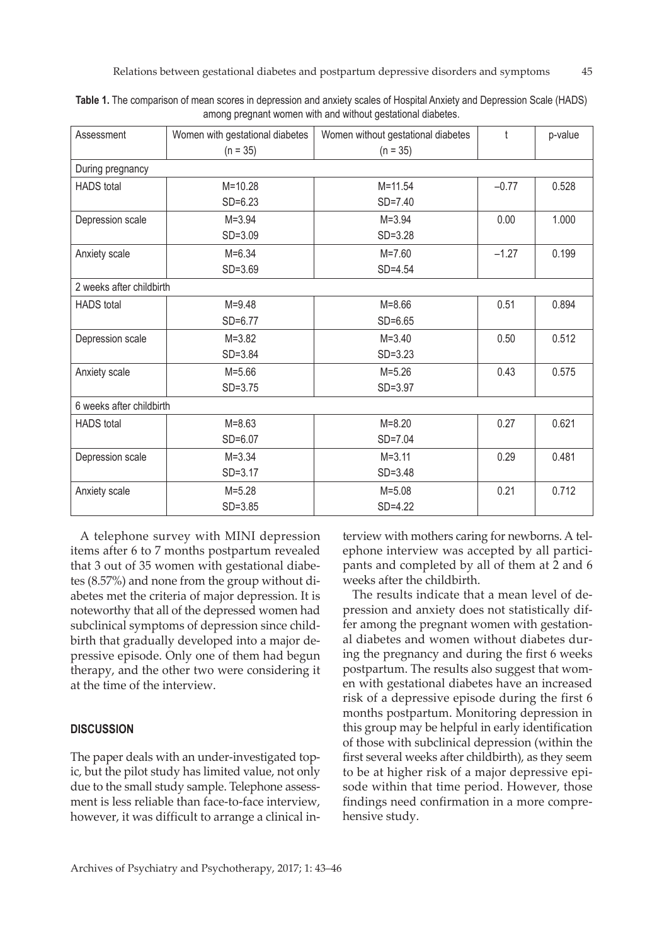| Assessment               | Women with gestational diabetes | Women without gestational diabetes | $\mathsf{f}$ | p-value |
|--------------------------|---------------------------------|------------------------------------|--------------|---------|
|                          | $(n = 35)$                      | $(n = 35)$                         |              |         |
| During pregnancy         |                                 |                                    |              |         |
| <b>HADS</b> total        | $M = 10.28$                     | $M = 11.54$                        | $-0.77$      | 0.528   |
|                          | $SD=6.23$                       | $SD = 7.40$                        |              |         |
| Depression scale         | $M = 3.94$                      | $M = 3.94$                         | 0.00         | 1.000   |
|                          | $SD = 3.09$                     | $SD = 3.28$                        |              |         |
| Anxiety scale            | $M = 6.34$                      | $M = 7.60$                         | $-1.27$      | 0.199   |
|                          | $SD = 3.69$                     | $SD = 4.54$                        |              |         |
| 2 weeks after childbirth |                                 |                                    |              |         |
| <b>HADS</b> total        | $M = 9.48$                      | $M = 8.66$                         | 0.51         | 0.894   |
|                          | SD=6.77                         | $SD=6.65$                          |              |         |
| Depression scale         | $M = 3.82$                      | $M = 3.40$                         | 0.50         | 0.512   |
|                          | $SD = 3.84$                     | $SD = 3.23$                        |              |         |
| Anxiety scale            | $M = 5.66$                      | $M = 5.26$                         | 0.43         | 0.575   |
|                          | $SD = 3.75$                     | $SD = 3.97$                        |              |         |
| 6 weeks after childbirth |                                 |                                    |              |         |
| <b>HADS</b> total        | $M = 8.63$                      | $M = 8.20$                         | 0.27         | 0.621   |
|                          | $SD=6.07$                       | $SD = 7.04$                        |              |         |
| Depression scale         | $M = 3.34$                      | $M = 3.11$                         | 0.29         | 0.481   |
|                          | $SD = 3.17$                     | $SD = 3.48$                        |              |         |
| Anxiety scale            | $M = 5.28$                      | $M = 5.08$                         | 0.21         | 0.712   |
|                          | $SD = 3.85$                     | SD=4.22                            |              |         |

**Table 1.** The comparison of mean scores in depression and anxiety scales of Hospital Anxiety and Depression Scale (HADS) among pregnant women with and without gestational diabetes.

A telephone survey with MINI depression items after 6 to 7 months postpartum revealed that 3 out of 35 women with gestational diabetes (8.57%) and none from the group without diabetes met the criteria of major depression. It is noteworthy that all of the depressed women had subclinical symptoms of depression since childbirth that gradually developed into a major depressive episode. Only one of them had begun therapy, and the other two were considering it at the time of the interview.

## **DISCUSSION**

The paper deals with an under-investigated topic, but the pilot study has limited value, not only due to the small study sample. Telephone assessment is less reliable than face-to-face interview, however, it was difficult to arrange a clinical interview with mothers caring for newborns. A telephone interview was accepted by all participants and completed by all of them at 2 and 6 weeks after the childbirth.

The results indicate that a mean level of depression and anxiety does not statistically differ among the pregnant women with gestational diabetes and women without diabetes during the pregnancy and during the first 6 weeks postpartum. The results also suggest that women with gestational diabetes have an increased risk of a depressive episode during the first 6 months postpartum. Monitoring depression in this group may be helpful in early identification of those with subclinical depression (within the first several weeks after childbirth), as they seem to be at higher risk of a major depressive episode within that time period. However, those findings need confirmation in a more comprehensive study.